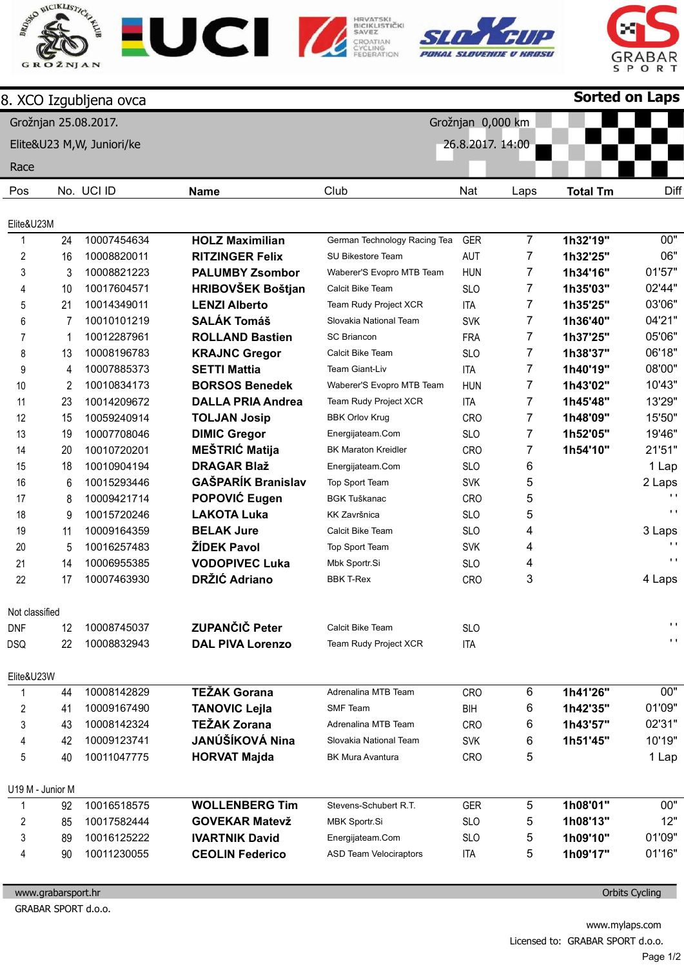









|                         |    | 8. XCO Izgubljena ovca     |                           |                               |                   |                | <b>Sorted on Laps</b> |                |
|-------------------------|----|----------------------------|---------------------------|-------------------------------|-------------------|----------------|-----------------------|----------------|
|                         |    | Grožnjan 25.08.2017.       |                           |                               | Grožnjan 0,000 km |                |                       |                |
|                         |    | Elite&U23 M, W, Juniori/ke |                           |                               | 26.8.2017. 14:00  |                |                       |                |
| Race                    |    |                            |                           |                               |                   |                |                       |                |
| Pos                     |    | No. UCI ID                 | <b>Name</b>               | Club                          | Nat               | Laps           | <b>Total Tm</b>       | Diff           |
|                         |    |                            |                           |                               |                   |                |                       |                |
| Elite&U23M              |    |                            |                           |                               |                   |                |                       |                |
| $\mathbf{1}$            | 24 | 10007454634                | <b>HOLZ Maximilian</b>    | German Technology Racing Tea  | <b>GER</b>        | $\overline{7}$ | 1h32'19"              | 00"            |
| 2                       | 16 | 10008820011                | <b>RITZINGER Felix</b>    | SU Bikestore Team             | <b>AUT</b>        | 7              | 1h32'25"              | 06"            |
| 3                       | 3  | 10008821223                | <b>PALUMBY Zsombor</b>    | Waberer'S Evopro MTB Team     | <b>HUN</b>        | 7              | 1h34'16"              | 01'57"         |
| 4                       | 10 | 10017604571                | <b>HRIBOVŠEK Boštjan</b>  | Calcit Bike Team              | <b>SLO</b>        | 7              | 1h35'03"              | 02'44"         |
| 5                       | 21 | 10014349011                | <b>LENZI Alberto</b>      | Team Rudy Project XCR         | <b>ITA</b>        | 7              | 1h35'25"              | 03'06"         |
| 6                       | 7  | 10010101219                | <b>SALÁK Tomáš</b>        | Slovakia National Team        | <b>SVK</b>        | 7              | 1h36'40"              | 04'21"         |
| $\overline{7}$          | 1  | 10012287961                | <b>ROLLAND Bastien</b>    | <b>SC Briancon</b>            | <b>FRA</b>        | 7              | 1h37'25"              | 05'06"         |
| 8                       | 13 | 10008196783                | <b>KRAJNC Gregor</b>      | Calcit Bike Team              | <b>SLO</b>        | 7              | 1h38'37"              | 06'18"         |
| 9                       | 4  | 10007885373                | <b>SETTI Mattia</b>       | Team Giant-Liv                | ITA               | 7              | 1h40'19"              | 08'00"         |
| 10                      | 2  | 10010834173                | <b>BORSOS Benedek</b>     | Waberer'S Evopro MTB Team     | <b>HUN</b>        | 7              | 1h43'02"              | 10'43"         |
| 11                      | 23 | 10014209672                | <b>DALLA PRIA Andrea</b>  | Team Rudy Project XCR         | <b>ITA</b>        | 7              | 1h45'48"              | 13'29"         |
| 12                      | 15 | 10059240914                | <b>TOLJAN Josip</b>       | <b>BBK Orlov Krug</b>         | CRO               | 7              | 1h48'09"              | 15'50"         |
| 13                      | 19 | 10007708046                | <b>DIMIC Gregor</b>       | Energijateam.Com              | <b>SLO</b>        | 7              | 1h52'05"              | 19'46"         |
| 14                      | 20 | 10010720201                | <b>MEŠTRIĆ Matija</b>     | <b>BK Maraton Kreidler</b>    | <b>CRO</b>        | 7              | 1h54'10"              | 21'51"         |
| 15                      | 18 | 10010904194                | <b>DRAGAR Blaž</b>        | Energijateam.Com              | <b>SLO</b>        | 6              |                       | 1 Lap          |
| 16                      | 6  | 10015293446                | <b>GAŠPARÍK Branislav</b> | Top Sport Team                | <b>SVK</b>        | 5              |                       | 2 Laps         |
| 17                      | 8  | 10009421714                | POPOVIĆ Eugen             | <b>BGK Tuškanac</b>           | <b>CRO</b>        | 5              |                       | $\blacksquare$ |
| 18                      | 9  | 10015720246                | <b>LAKOTA Luka</b>        | <b>KK Završnica</b>           | <b>SLO</b>        | 5              |                       | $\mathbf{L}$   |
| 19                      | 11 | 10009164359                | <b>BELAK Jure</b>         | Calcit Bike Team              | <b>SLO</b>        | 4              |                       | 3 Laps         |
| 20                      | 5  | 10016257483                | <b>ŽÍDEK Pavol</b>        | Top Sport Team                | <b>SVK</b>        | 4              |                       | $\blacksquare$ |
| 21                      | 14 | 10006955385                | <b>VODOPIVEC Luka</b>     | Mbk Sportr.Si                 | <b>SLO</b>        | 4              |                       | $\blacksquare$ |
| 22                      | 17 | 10007463930                | <b>DRŽIĆ Adriano</b>      | <b>BBK T-Rex</b>              | CRO               | 3              |                       | 4 Laps         |
| Not classified          |    |                            |                           |                               |                   |                |                       |                |
| <b>DNF</b>              | 12 | 10008745037                | <b>ZUPANČIČ Peter</b>     | Calcit Bike Team              | <b>SLO</b>        |                |                       | $\mathbf{L}$   |
| DSQ                     | 22 | 10008832943                | <b>DAL PIVA Lorenzo</b>   | Team Rudy Project XCR         | <b>ITA</b>        |                |                       | $\blacksquare$ |
| Elite&U23W              |    |                            |                           |                               |                   |                |                       |                |
| $\mathbf{1}$            | 44 | 10008142829                | <b>TEŽAK Gorana</b>       | Adrenalina MTB Team           | CRO               | 6              | 1h41'26"              | 00"            |
| 2                       | 41 | 10009167490                | <b>TANOVIC Lejla</b>      | <b>SMF Team</b>               | <b>BIH</b>        | 6              | 1h42'35"              | 01'09"         |
| 3                       | 43 | 10008142324                | <b>TEŽAK Zorana</b>       | Adrenalina MTB Team           | <b>CRO</b>        | 6              | 1h43'57"              | 02'31"         |
| 4                       | 42 | 10009123741                | JANÚŠÍKOVÁ Nina           | Slovakia National Team        | <b>SVK</b>        | 6              | 1h51'45"              | 10'19"         |
| 5                       | 40 | 10011047775                | <b>HORVAT Majda</b>       | <b>BK Mura Avantura</b>       | CRO               | 5              |                       | 1 Lap          |
| U19 M - Junior M        |    |                            |                           |                               |                   |                |                       |                |
| 1                       | 92 | 10016518575                | <b>WOLLENBERG Tim</b>     | Stevens-Schubert R.T.         | <b>GER</b>        | 5              | 1h08'01"              | 00"            |
| $\overline{\mathbf{c}}$ | 85 | 10017582444                | <b>GOVEKAR Matevž</b>     | MBK Sportr.Si                 | <b>SLO</b>        | 5              | 1h08'13"              | 12"            |
| 3                       | 89 | 10016125222                | <b>IVARTNIK David</b>     | Energijateam.Com              | <b>SLO</b>        | 5              | 1h09'10"              | 01'09"         |
| 4                       | 90 | 10011230055                | <b>CEOLIN Federico</b>    | <b>ASD Team Velociraptors</b> | ITA               | 5              | 1h09'17"              | 01'16"         |
|                         |    |                            |                           |                               |                   |                |                       |                |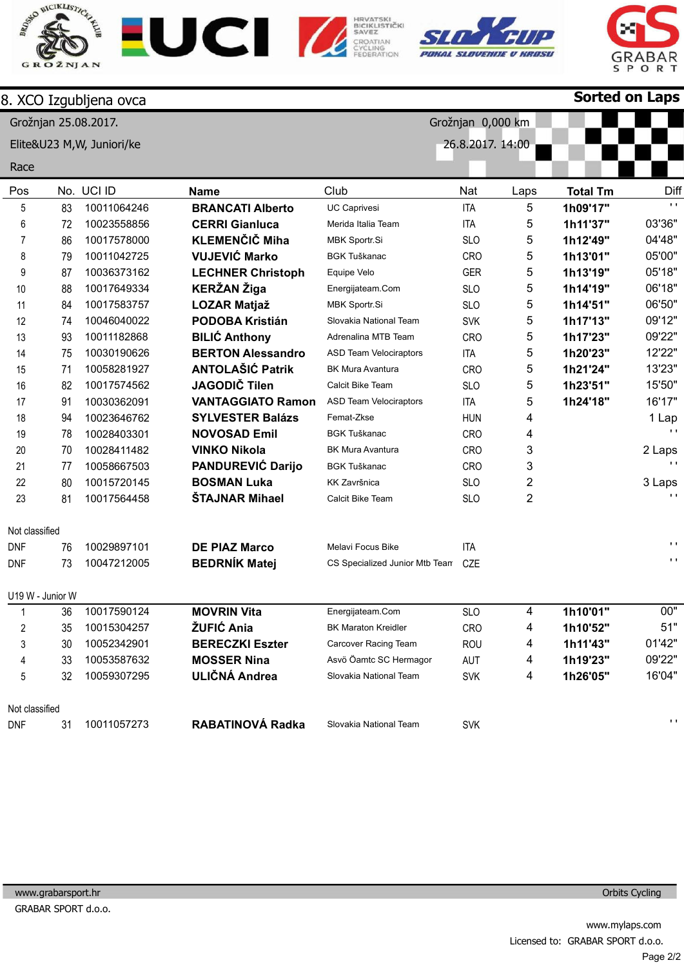









Sorted on Laps

|                |                  | 8. XCO Izgubljena ovca     |                          |                                |                   |      | <b>Sorted on Laps</b> |                |
|----------------|------------------|----------------------------|--------------------------|--------------------------------|-------------------|------|-----------------------|----------------|
|                |                  | Grožnjan 25.08.2017.       |                          |                                | Grožnjan 0,000 km |      |                       |                |
|                |                  | Elite&U23 M, W, Juniori/ke |                          |                                | 26.8.2017. 14:00  |      |                       |                |
|                |                  |                            |                          |                                |                   |      |                       |                |
| Race           |                  |                            |                          |                                |                   |      |                       |                |
| Pos            |                  | No. UCI ID                 | <b>Name</b>              | Club                           | Nat               | Laps | <b>Total Tm</b>       | Diff           |
| 5              | 83               | 10011064246                | <b>BRANCATI Alberto</b>  | <b>UC Caprivesi</b>            | <b>ITA</b>        | 5    | 1h09'17"              | $\mathbf{r}$ . |
| 6              | 72               | 10023558856                | <b>CERRI Gianluca</b>    | Merida Italia Team             | <b>ITA</b>        | 5    | 1h11'37"              | 03'36"         |
| 7              | 86               | 10017578000                | <b>KLEMENČIČ Miha</b>    | MBK Sportr.Si                  | <b>SLO</b>        | 5    | 1h12'49"              | 04'48"         |
| 8              | 79               | 10011042725                | <b>VUJEVIĆ Marko</b>     | <b>BGK Tuškanac</b>            | CRO               | 5    | 1h13'01"              | 05'00"         |
| 9              | 87               | 10036373162                | <b>LECHNER Christoph</b> | Equipe Velo                    | <b>GER</b>        | 5    | 1h13'19"              | 05'18"         |
| 10             | 88               | 10017649334                | <b>KERŽAN Žiga</b>       | Energijateam.Com               | <b>SLO</b>        | 5    | 1h14'19"              | 06'18"         |
| 11             | 84               | 10017583757                | <b>LOZAR Matjaž</b>      | MBK Sportr.Si                  | <b>SLO</b>        | 5    | 1h14'51"              | 06'50"         |
| 12             | 74               | 10046040022                | <b>PODOBA Kristián</b>   | Slovakia National Team         | <b>SVK</b>        | 5    | 1h17'13"              | 09'12"         |
| 13             | 93               | 10011182868                | <b>BILIĆ Anthony</b>     | Adrenalina MTB Team            | CRO               | 5    | 1h17'23"              | 09'22"         |
| 14             | 75               | 10030190626                | <b>BERTON Alessandro</b> | <b>ASD Team Velociraptors</b>  | <b>ITA</b>        | 5    | 1h20'23"              | 12'22"         |
| 15             | 71               | 10058281927                | <b>ANTOLAŠIĆ Patrik</b>  | <b>BK Mura Avantura</b>        | <b>CRO</b>        | 5    | 1h21'24"              | 13'23"         |
| 16             | 82               | 10017574562                | <b>JAGODIČ Tilen</b>     | Calcit Bike Team               | <b>SLO</b>        | 5    | 1h23'51"              | 15'50"         |
| 17             | 91               | 10030362091                | <b>VANTAGGIATO Ramon</b> | <b>ASD Team Velociraptors</b>  | <b>ITA</b>        | 5    | 1h24'18"              | 16'17"         |
| 18             | 94               | 10023646762                | <b>SYLVESTER Balázs</b>  | Femat-Zkse                     | <b>HUN</b>        | 4    |                       | 1 Lap          |
| 19             | 78               | 10028403301                | <b>NOVOSAD Emil</b>      | <b>BGK Tuškanac</b>            | CRO               | 4    |                       |                |
| 20             | 70               | 10028411482                | <b>VINKO Nikola</b>      | <b>BK Mura Avantura</b>        | CRO               | 3    |                       | 2 Laps         |
| 21             | 77               | 10058667503                | PANDUREVIĆ Darijo        | <b>BGK Tuškanac</b>            | CRO               | 3    |                       | $\mathbf{L}$   |
| 22             | 80               | 10015720145                | <b>BOSMAN Luka</b>       | <b>KK Završnica</b>            | <b>SLO</b>        | 2    |                       | 3 Laps         |
| 23             | 81               | 10017564458                | <b>ŠTAJNAR Mihael</b>    | Calcit Bike Team               | <b>SLO</b>        | 2    |                       | $\mathbf{L}$   |
| Not classified |                  |                            |                          |                                |                   |      |                       |                |
| <b>DNF</b>     | 76               | 10029897101                | <b>DE PIAZ Marco</b>     | <b>Melavi Focus Bike</b>       | <b>ITA</b>        |      |                       | $\mathbf{L}$   |
| <b>DNF</b>     | 73               | 10047212005                | <b>BEDRNÍK Matej</b>     | CS Specialized Junior Mtb Team | CZE               |      |                       | $\mathbf{L}$   |
|                | U19 W - Junior W |                            |                          |                                |                   |      |                       |                |
|                | 36               | 10017590124                | <b>MOVRIN Vita</b>       | Energijateam.Com               | <b>SLO</b>        | 4    | 1h10'01"              | 00"            |
| 2              | 35               | 10015304257                | ŽUFIĆ Ania               | <b>BK Maraton Kreidler</b>     | CRO               | 4    | 1h10'52"              | 51"            |
| 3              | 30               | 10052342901                | <b>BERECZKI Eszter</b>   | Carcover Racing Team           | <b>ROU</b>        | 4    | 1h11'43"              | 01'42"         |
| 4              | 33               | 10053587632                | <b>MOSSER Nina</b>       | Asvö Öamtc SC Hermagor         | AUT               | 4    | 1h19'23"              | 09'22"         |
| 5              | 32               | 10059307295                | <b>ULIČNÁ Andrea</b>     | Slovakia National Team         | <b>SVK</b>        | 4    | 1h26'05"              | 16'04"         |
| Not classified |                  |                            |                          |                                |                   |      |                       |                |
| <b>DNF</b>     | 31               | 10011057273                | RABATINOVÁ Radka         | Slovakia National Team         | <b>SVK</b>        |      |                       | $\mathbf{L}$   |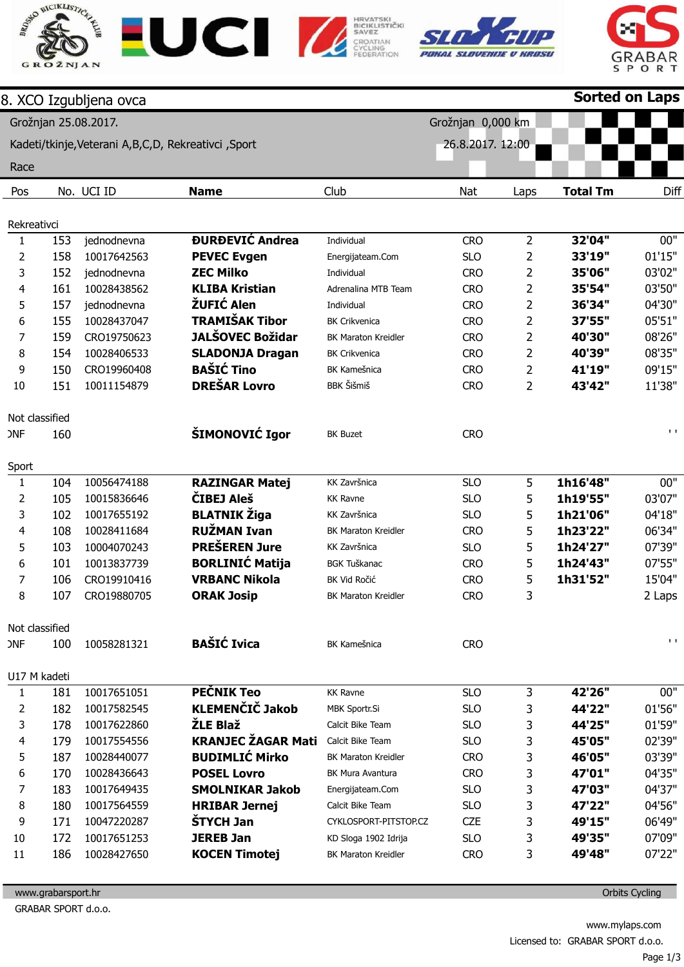







|                |     | 8. XCO Izgubljena ovca                                 |                                      |                            |                   |                | <b>Sorted on Laps</b> |                               |
|----------------|-----|--------------------------------------------------------|--------------------------------------|----------------------------|-------------------|----------------|-----------------------|-------------------------------|
|                |     | Grožnjan 25.08.2017.                                   |                                      |                            | Grožnjan 0,000 km |                |                       |                               |
|                |     | Kadeti/tkinje, Veterani A, B, C, D, Rekreativci, Sport |                                      |                            | 26.8.2017. 12:00  |                |                       |                               |
|                |     |                                                        |                                      |                            |                   |                |                       |                               |
| Race           |     |                                                        |                                      |                            |                   |                |                       |                               |
| Pos            |     | No. UCI ID                                             | <b>Name</b>                          | Club                       | Nat               | Laps           | <b>Total Tm</b>       | Diff                          |
| Rekreativci    |     |                                                        |                                      |                            |                   |                |                       |                               |
| $\mathbf{1}$   | 153 | jednodnevna                                            | <b><i><u>DURĐEVIĆ</u></i></b> Andrea | Individual                 | <b>CRO</b>        | $\overline{2}$ | 32'04"                | 00"                           |
| 2              | 158 | 10017642563                                            | <b>PEVEC Evgen</b>                   | Energijateam.Com           | <b>SLO</b>        | 2              | 33'19"                | 01'15"                        |
| 3              | 152 | jednodnevna                                            | <b>ZEC Milko</b>                     | Individual                 | <b>CRO</b>        | 2              | 35'06"                | 03'02"                        |
| 4              | 161 | 10028438562                                            | <b>KLIBA Kristian</b>                | Adrenalina MTB Team        | <b>CRO</b>        | 2              | 35'54"                | 03'50"                        |
| 5              | 157 | jednodnevna                                            | ŽUFIĆ Alen                           | Individual                 | <b>CRO</b>        | 2              | 36'34"                | 04'30"                        |
| 6              | 155 | 10028437047                                            | <b>TRAMIŠAK Tibor</b>                | <b>BK Crikvenica</b>       | <b>CRO</b>        | 2              | 37'55"                | 05'51"                        |
| 7              | 159 | CRO19750623                                            | <b>JALŠOVEC Božidar</b>              | <b>BK Maraton Kreidler</b> | <b>CRO</b>        | 2              | 40'30"                | 08'26"                        |
| 8              | 154 | 10028406533                                            | <b>SLADONJA Dragan</b>               | <b>BK Crikvenica</b>       | <b>CRO</b>        | 2              | 40'39"                | 08'35"                        |
| 9              | 150 | CRO19960408                                            | <b>BAŠIĆ Tino</b>                    | <b>BK Kamešnica</b>        | <b>CRO</b>        | 2              | 41'19"                | 09'15"                        |
| 10             | 151 | 10011154879                                            | <b>DREŠAR Lovro</b>                  | <b>BBK</b> Šišmiš          | <b>CRO</b>        | 2              | 43'42"                | 11'38"                        |
|                |     |                                                        |                                      |                            |                   |                |                       |                               |
| Not classified |     |                                                        |                                      |                            |                   |                |                       |                               |
| <b>ONF</b>     | 160 |                                                        | ŠIMONOVIĆ Igor                       | <b>BK Buzet</b>            | <b>CRO</b>        |                |                       | $\mathbf{I}$ . $\mathbf{I}$   |
|                |     |                                                        |                                      |                            |                   |                |                       |                               |
| Sport          |     |                                                        |                                      |                            |                   |                |                       |                               |
| $\mathbf{1}$   | 104 | 10056474188                                            | <b>RAZINGAR Matej</b>                | KK Završnica               | <b>SLO</b>        | 5              | 1h16'48"              | $00^{\frac{1}{1}}$            |
| $\overline{2}$ | 105 | 10015836646                                            | <b>ČIBEJ Aleš</b>                    | <b>KK Ravne</b>            | <b>SLO</b>        | 5              | 1h19'55"              | 03'07"                        |
| 3              | 102 | 10017655192                                            | <b>BLATNIK Žiga</b>                  | KK Završnica               | <b>SLO</b>        | 5              | 1h21'06"              | 04'18"                        |
| 4              | 108 | 10028411684                                            | <b>RUŽMAN Ivan</b>                   | <b>BK Maraton Kreidler</b> | <b>CRO</b>        | 5              | 1h23'22"              | 06'34"                        |
| 5              | 103 | 10004070243                                            | <b>PREŠEREN Jure</b>                 | KK Završnica               | <b>SLO</b>        | 5              | 1h24'27"              | 07'39"                        |
| 6              | 101 | 10013837739                                            | <b>BORLINIĆ Matija</b>               | <b>BGK Tuškanac</b>        | <b>CRO</b>        | 5              | 1h24'43"              | 07'55"                        |
| 7              | 106 | CRO19910416                                            | <b>VRBANC Nikola</b>                 | BK Vid Ročić               | <b>CRO</b>        | 5              | 1h31'52"              | 15'04"                        |
| 8              | 107 | CRO19880705                                            | <b>ORAK Josip</b>                    | <b>BK Maraton Kreidler</b> | <b>CRO</b>        | 3              |                       | 2 Laps                        |
|                |     |                                                        |                                      |                            |                   |                |                       |                               |
| Not classified |     |                                                        |                                      |                            |                   |                |                       |                               |
| <b>ONF</b>     | 100 | 10058281321                                            | <b>BAŠIĆ Ivica</b>                   | BK Kamešnica               | <b>CRO</b>        |                |                       | $\mathbf{I} \cdot \mathbf{I}$ |
|                |     |                                                        |                                      |                            |                   |                |                       |                               |
| U17 M kadeti   |     |                                                        |                                      |                            |                   |                |                       |                               |
| $\mathbf{1}$   | 181 | 10017651051                                            | <b>PEČNIK Teo</b>                    | <b>KK Ravne</b>            | <b>SLO</b>        | 3              | 42'26"                | 00"                           |
| 2              | 182 | 10017582545                                            | <b>KLEMENČIČ Jakob</b>               | MBK Sportr.Si              | <b>SLO</b>        | 3              | 44'22"                | 01'56"                        |
| 3              | 178 | 10017622860                                            | ŽLE Blaž                             | Calcit Bike Team           | <b>SLO</b>        | 3              | 44'25"                | 01'59"                        |
| 4              | 179 | 10017554556                                            | <b>KRANJEC ŽAGAR Mati</b>            | Calcit Bike Team           | <b>SLO</b>        | 3              | 45'05"                | 02'39"                        |
| 5              | 187 | 10028440077                                            | <b>BUDIMLIĆ Mirko</b>                | <b>BK Maraton Kreidler</b> | <b>CRO</b>        | 3              | 46'05"                | 03'39"                        |
| 6              | 170 | 10028436643                                            | <b>POSEL Lovro</b>                   | BK Mura Avantura           | <b>CRO</b>        | 3              | 47'01"                | 04'35"                        |
| 7              | 183 | 10017649435                                            | <b>SMOLNIKAR Jakob</b>               | Energijateam.Com           | <b>SLO</b>        | 3              | 47'03"                | 04'37"                        |
| 8              | 180 | 10017564559                                            | <b>HRIBAR Jernej</b>                 | Calcit Bike Team           | <b>SLO</b>        | 3              | 47'22"                | 04'56"                        |
| 9              | 171 | 10047220287                                            | <b>ŠTYCH Jan</b>                     | CYKLOSPORT-PITSTOP.CZ      | <b>CZE</b>        | 3              | 49'15"                | 06'49"                        |
| 10             | 172 | 10017651253                                            | <b>JEREB Jan</b>                     | KD Sloga 1902 Idrija       | <b>SLO</b>        | 3              | 49'35"                | 07'09"                        |
| 11             | 186 | 10028427650                                            | <b>KOCEN Timotej</b>                 | <b>BK Maraton Kreidler</b> | <b>CRO</b>        | 3              | 49'48"                | 07'22"                        |
|                |     |                                                        |                                      |                            |                   |                |                       |                               |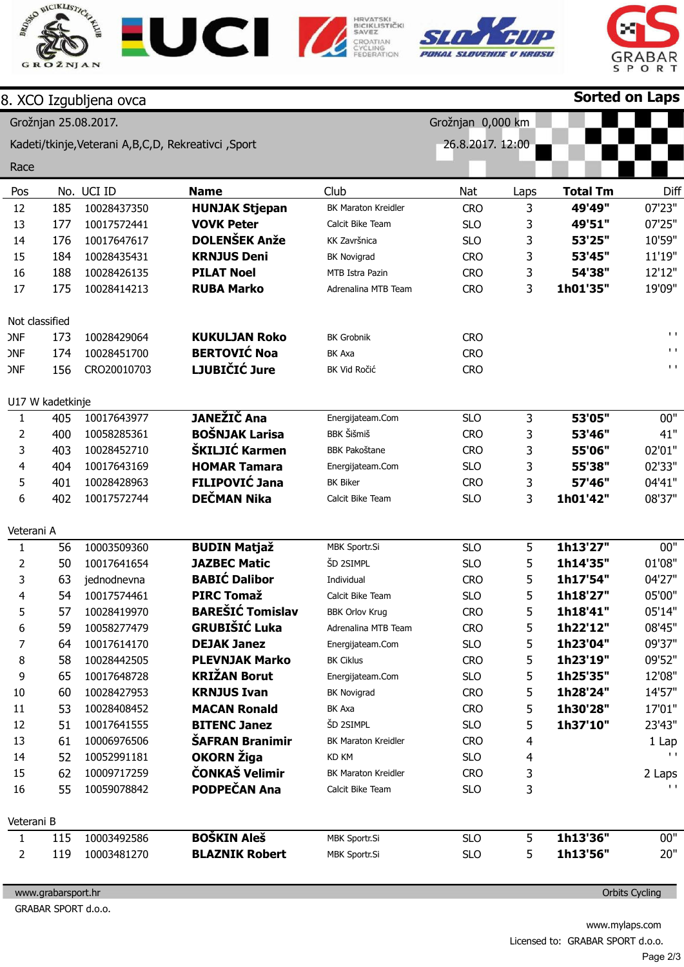







|                |                  | 8. XCO Izgubljena ovca                                 |                         |                            |                   |      |                 | Sorted on Laps                |
|----------------|------------------|--------------------------------------------------------|-------------------------|----------------------------|-------------------|------|-----------------|-------------------------------|
|                |                  | Grožnjan 25.08.2017.                                   |                         |                            | Grožnjan 0,000 km |      |                 |                               |
|                |                  | Kadeti/tkinje, Veterani A, B, C, D, Rekreativci, Sport |                         |                            | 26.8.2017. 12:00  |      |                 |                               |
|                |                  |                                                        |                         |                            |                   |      |                 |                               |
| Race           |                  |                                                        |                         |                            |                   |      |                 |                               |
| Pos            |                  | No. UCI ID                                             | <b>Name</b>             | Club                       | Nat               | Laps | <b>Total Tm</b> | Diff                          |
| 12             | 185              | 10028437350                                            | <b>HUNJAK Stjepan</b>   | <b>BK Maraton Kreidler</b> | <b>CRO</b>        | 3    | 49'49"          | 07'23"                        |
| 13             | 177              | 10017572441                                            | <b>VOVK Peter</b>       | Calcit Bike Team           | <b>SLO</b>        | 3    | 49'51"          | 07'25"                        |
| 14             | 176              | 10017647617                                            | <b>DOLENŠEK Anže</b>    | KK Završnica               | <b>SLO</b>        | 3    | 53'25"          | 10'59"                        |
| 15             | 184              | 10028435431                                            | <b>KRNJUS Deni</b>      | <b>BK Novigrad</b>         | <b>CRO</b>        | 3    | 53'45"          | 11'19"                        |
| 16             | 188              | 10028426135                                            | <b>PILAT Noel</b>       | MTB Istra Pazin            | <b>CRO</b>        | 3    | 54'38"          | 12'12"                        |
| 17             | 175              | 10028414213                                            | <b>RUBA Marko</b>       | Adrenalina MTB Team        | <b>CRO</b>        | 3    | 1h01'35"        | 19'09"                        |
|                | Not classified   |                                                        |                         |                            |                   |      |                 |                               |
| <b>ONF</b>     | 173              | 10028429064                                            | <b>KUKULJAN Roko</b>    | <b>BK Grobnik</b>          | <b>CRO</b>        |      |                 | $\mathbf{I} \cdot \mathbf{I}$ |
| <b>ONF</b>     | 174              | 10028451700                                            | <b>BERTOVIĆ Noa</b>     | BK Axa                     | <b>CRO</b>        |      |                 | $\mathbf{I}$ . $\mathbf{I}$   |
| <b>ONF</b>     | 156              | CRO20010703                                            | LJUBIČIĆ Jure           | BK Vid Ročić               | <b>CRO</b>        |      |                 | $\mathbf{L}$ .                |
|                | U17 W kadetkinje |                                                        |                         |                            |                   |      |                 |                               |
| $\mathbf{1}$   | 405              | 10017643977                                            | <b>JANEŽIČ Ana</b>      | Energijateam.Com           | <b>SLO</b>        | 3    | 53'05"          | 00"                           |
| $\overline{2}$ | 400              | 10058285361                                            | <b>BOŠNJAK Larisa</b>   | <b>BBK Šišmiš</b>          | <b>CRO</b>        | 3    | 53'46"          | 41"                           |
| 3              | 403              | 10028452710                                            | ŠKILJIĆ Karmen          | <b>BBK Pakoštane</b>       | <b>CRO</b>        | 3    | 55'06"          | 02'01"                        |
| 4              | 404              | 10017643169                                            | <b>HOMAR Tamara</b>     | Energijateam.Com           | <b>SLO</b>        | 3    | 55'38"          | 02'33"                        |
| 5              | 401              | 10028428963                                            | <b>FILIPOVIĆ Jana</b>   | <b>BK Biker</b>            | <b>CRO</b>        | 3    | 57'46"          | 04'41"                        |
| 6              | 402              | 10017572744                                            | <b>DEČMAN Nika</b>      | Calcit Bike Team           | <b>SLO</b>        | 3    | 1h01'42"        | 08'37"                        |
| Veterani A     |                  |                                                        |                         |                            |                   |      |                 |                               |
| $\mathbf{1}$   | 56               | 10003509360                                            | <b>BUDIN Matjaž</b>     | MBK Sportr.Si              | <b>SLO</b>        | 5    | 1h13'27"        | 00"                           |
| $\overline{2}$ | 50               | 10017641654                                            | <b>JAZBEC Matic</b>     | ŠD 2SIMPL                  | <b>SLO</b>        | 5    | 1h14'35"        | 01'08"                        |
| 3              | 63               | jednodnevna                                            | <b>BABIĆ Dalibor</b>    | Individual                 | <b>CRO</b>        | 5    | 1h17'54"        | 04'27"                        |
| 4              | 54               | 10017574461                                            | <b>PIRC Tomaž</b>       | Calcit Bike Team           | <b>SLO</b>        | 5    | 1h18'27"        | 05'00"                        |
| 5              | 57               | 10028419970                                            | <b>BAREŠIĆ Tomislav</b> | <b>BBK Orlov Krug</b>      | <b>CRO</b>        | 5    | 1h18'41"        | 05'14"                        |
| 6              | 59               | 10058277479                                            | <b>GRUBIŠIĆ Luka</b>    | Adrenalina MTB Team        | <b>CRO</b>        | 5    | 1h22'12"        | 08'45"                        |
| 7              | 64               | 10017614170                                            | <b>DEJAK Janez</b>      | Energijateam.Com           | <b>SLO</b>        | 5    | 1h23'04"        | 09'37"                        |
| 8              | 58               | 10028442505                                            | <b>PLEVNJAK Marko</b>   | <b>BK Ciklus</b>           | <b>CRO</b>        | 5    | 1h23'19"        | 09'52"                        |
| 9              | 65               | 10017648728                                            | <b>KRIŽAN Borut</b>     | Energijateam.Com           | <b>SLO</b>        | 5    | 1h25'35"        | 12'08"                        |
| $10\,$         | 60               | 10028427953                                            | <b>KRNJUS Ivan</b>      | <b>BK Novigrad</b>         | <b>CRO</b>        | 5    | 1h28'24"        | 14'57"                        |
| 11             | 53               | 10028408452                                            | <b>MACAN Ronald</b>     | BK Axa                     | <b>CRO</b>        | 5    | 1h30'28"        | 17'01"                        |
| 12             | 51               | 10017641555                                            | <b>BITENC Janez</b>     | ŠD 2SIMPL                  | <b>SLO</b>        | 5    | 1h37'10"        | 23'43"                        |
| 13             | 61               | 10006976506                                            | ŠAFRAN Branimir         | <b>BK Maraton Kreidler</b> | <b>CRO</b>        | 4    |                 | 1 Lap                         |
| 14             | 52               | 10052991181                                            | OKORN Žiga              | <b>KD KM</b>               | <b>SLO</b>        | 4    |                 | $\mathbf{L}$                  |
| 15             | 62               | 10009717259                                            | ČONKAŠ Velimir          | <b>BK Maraton Kreidler</b> | <b>CRO</b>        | 3    |                 | 2 Laps                        |
| 16             | 55               | 10059078842                                            | PODPEČAN Ana            | Calcit Bike Team           | <b>SLO</b>        | 3    |                 | $\mathbf{L}$                  |
| Veterani B     |                  |                                                        |                         |                            |                   |      |                 |                               |
| $\mathbf{1}$   | 115              | 10003492586                                            | <b>BOŠKIN Aleš</b>      | MBK Sportr.Si              | <b>SLO</b>        | 5    | 1h13'36"        | 00"                           |
| $\overline{2}$ | 119              | 10003481270                                            | <b>BLAZNIK Robert</b>   | MBK Sportr.Si              | <b>SLO</b>        | 5    | 1h13'56"        | 20"                           |
|                |                  |                                                        |                         |                            |                   |      |                 |                               |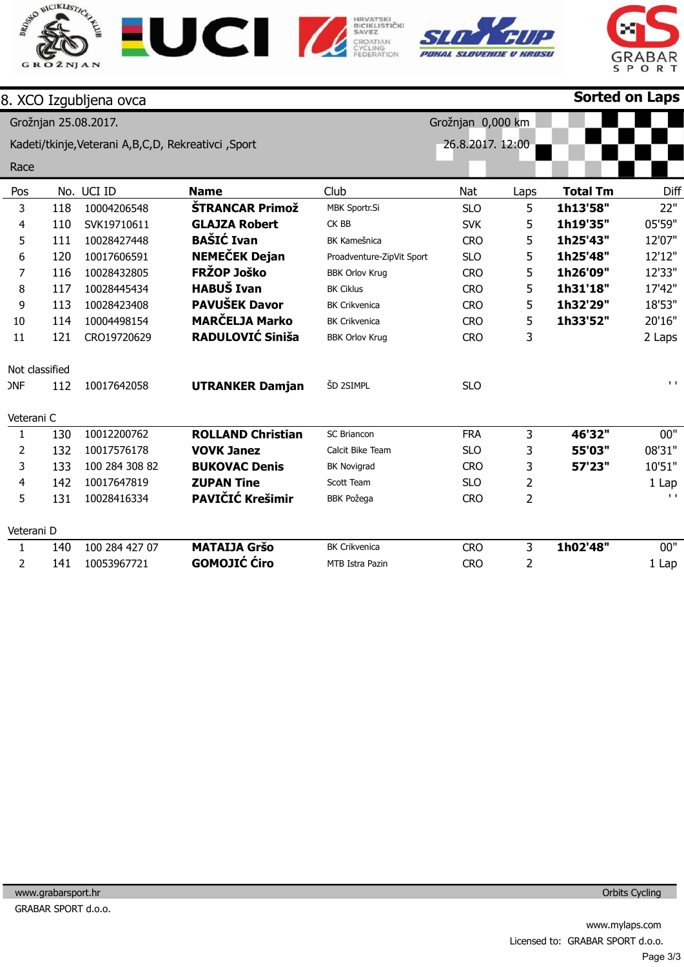









|                |     | 8. XCO Izgubljena ovca                                 |                          |                           |                   |      | <b>Sorted on Laps</b> |              |
|----------------|-----|--------------------------------------------------------|--------------------------|---------------------------|-------------------|------|-----------------------|--------------|
|                |     | Grožnjan 25.08.2017.                                   |                          |                           | Grožnjan 0,000 km |      |                       |              |
|                |     | Kadeti/tkinje, Veterani A, B, C, D, Rekreativci, Sport |                          |                           | 26.8.2017. 12:00  |      |                       |              |
| Race           |     |                                                        |                          |                           |                   |      |                       |              |
| Pos            | No. | UCI ID                                                 | <b>Name</b>              | Club                      | Nat               | Laps | <b>Total Tm</b>       | Diff         |
| 3              | 118 | 10004206548                                            | <b>ŠTRANCAR Primož</b>   | MBK Sportr.Si             | <b>SLO</b>        | 5    | 1h13'58"              | 22"          |
| 4              | 110 | SVK19710611                                            | <b>GLAJZA Robert</b>     | CK BB                     | <b>SVK</b>        | 5    | 1h19'35"              | 05'59"       |
| 5              | 111 | 10028427448                                            | <b>BAŠIĆ Ivan</b>        | <b>BK Kamešnica</b>       | <b>CRO</b>        | 5    | 1h25'43"              | 12'07"       |
| 6              | 120 | 10017606591                                            | <b>NEMEČEK Dejan</b>     | Proadventure-ZipVit Sport | <b>SLO</b>        | 5    | 1h25'48"              | 12'12"       |
| 7              | 116 | 10028432805                                            | FRŽOP Joško              | <b>BBK Orlov Krug</b>     | <b>CRO</b>        | 5    | 1h26'09"              | 12'33"       |
| 8              | 117 | 10028445434                                            | <b>HABUŠ Ivan</b>        | <b>BK Ciklus</b>          | <b>CRO</b>        | 5    | 1h31'18"              | 17'42"       |
| 9              | 113 | 10028423408                                            | PAVUŠEK Davor            | <b>BK Crikvenica</b>      | <b>CRO</b>        | 5    | 1h32'29"              | 18'53"       |
| 10             | 114 | 10004498154                                            | <b>MARČELJA Marko</b>    | <b>BK Crikvenica</b>      | <b>CRO</b>        | 5    | 1h33'52"              | 20'16"       |
| 11             | 121 | CRO19720629                                            | RADULOVIĆ Siniša         | <b>BBK Orlov Krug</b>     | <b>CRO</b>        | 3    |                       | 2 Laps       |
| Not classified |     |                                                        |                          |                           |                   |      |                       |              |
| <b>ONF</b>     | 112 | 10017642058                                            | <b>UTRANKER Damjan</b>   | ŠD 2SIMPL                 | <b>SLO</b>        |      |                       | $\mathbf{L}$ |
| Veterani C     |     |                                                        |                          |                           |                   |      |                       |              |
| $\mathbf{1}$   | 130 | 10012200762                                            | <b>ROLLAND Christian</b> | <b>SC Briancon</b>        | <b>FRA</b>        | 3    | 46'32"                | 00"          |
| $\overline{2}$ | 132 | 10017576178                                            | <b>VOVK Janez</b>        | Calcit Bike Team          | <b>SLO</b>        | 3    | 55'03"                | 08'31"       |
| 3              | 133 | 100 284 308 82                                         | <b>BUKOVAC Denis</b>     | <b>BK Novigrad</b>        | <b>CRO</b>        | 3    | 57'23"                | 10'51"       |
| 4              | 142 | 10017647819                                            | <b>ZUPAN Tine</b>        | Scott Team                | <b>SLO</b>        | 2    |                       | 1 Lap        |
| 5              | 131 | 10028416334                                            | PAVIČIĆ Krešimir         | <b>BBK Požega</b>         | <b>CRO</b>        | 2    |                       | $\mathbf{I}$ |
| Veterani D     |     |                                                        |                          |                           |                   |      |                       |              |
| $\mathbf{1}$   | 140 | 100 284 427 07                                         | <b>MATAIJA Gršo</b>      | <b>BK Crikvenica</b>      | <b>CRO</b>        | 3    | 1h02'48"              | 00"          |
| 2              | 141 | 10053967721                                            | <b>GOMOJIĆ Ćiro</b>      | <b>MTB</b> Istra Pazin    | <b>CRO</b>        | 2    |                       | $1$ Lap      |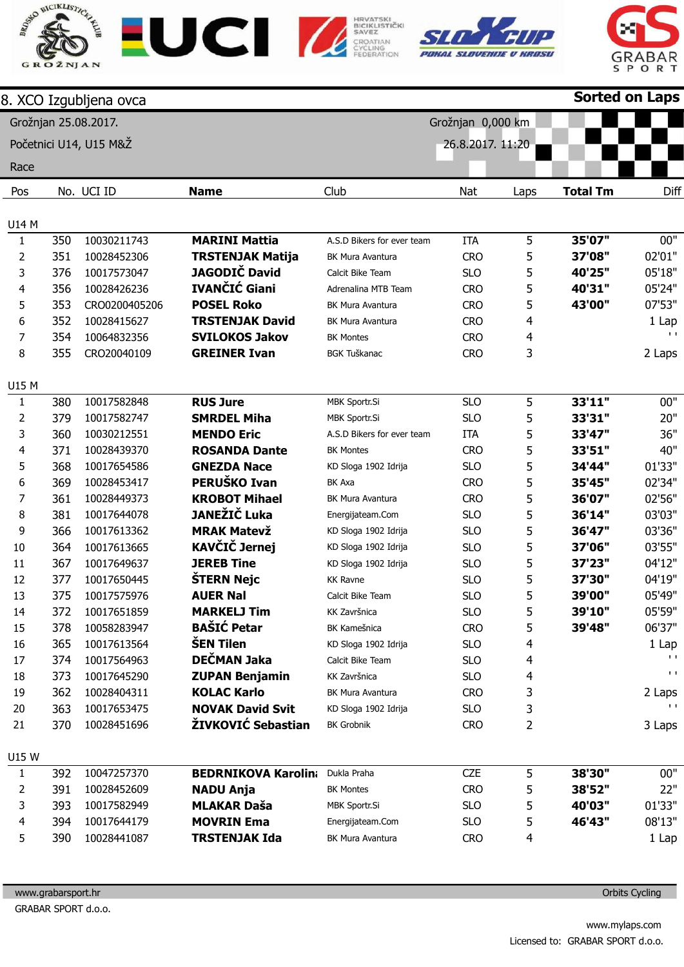









|                       |     | 8. XCO Izgubljena ovca |                                    |                                                    |                   |      | <b>Sorted on Laps</b> |              |
|-----------------------|-----|------------------------|------------------------------------|----------------------------------------------------|-------------------|------|-----------------------|--------------|
|                       |     | Grožnjan 25.08.2017.   |                                    |                                                    | Grožnjan 0,000 km |      |                       |              |
|                       |     | Početnici U14, U15 M&Ž |                                    |                                                    | 26.8.2017. 11:20  |      |                       |              |
| Race                  |     |                        |                                    |                                                    |                   |      |                       |              |
|                       |     | No. UCI ID             |                                    | Club                                               | Nat               |      | <b>Total Tm</b>       | Diff         |
| Pos                   |     |                        | <b>Name</b>                        |                                                    |                   | Laps |                       |              |
| <b>U14 M</b>          |     |                        |                                    |                                                    |                   |      |                       |              |
| $\mathbf{1}$          | 350 | 10030211743            | <b>MARINI Mattia</b>               | A.S.D Bikers for ever team                         | <b>ITA</b>        | 5    | 35'07"                | 00"          |
| $\overline{2}$        | 351 | 10028452306            | <b>TRSTENJAK Matija</b>            | <b>BK Mura Avantura</b>                            | <b>CRO</b>        | 5    | 37'08"                | 02'01"       |
| 3                     | 376 | 10017573047            | <b>JAGODIČ David</b>               | Calcit Bike Team                                   | <b>SLO</b>        | 5    | 40'25"                | 05'18"       |
| 4                     | 356 | 10028426236            | IVANČIĆ Giani                      | Adrenalina MTB Team                                | <b>CRO</b>        | 5    | 40'31"                | 05'24"       |
| 5                     | 353 | CRO0200405206          | <b>POSEL Roko</b>                  | <b>BK Mura Avantura</b>                            | <b>CRO</b>        | 5    | 43'00"                | 07'53"       |
| 6                     | 352 | 10028415627            | <b>TRSTENJAK David</b>             | <b>BK Mura Avantura</b>                            | <b>CRO</b>        | 4    |                       | 1 Lap        |
| 7                     | 354 | 10064832356            | <b>SVILOKOS Jakov</b>              | <b>BK Montes</b>                                   | <b>CRO</b>        | 4    |                       | $\mathbf{L}$ |
| 8                     | 355 | CRO20040109            | <b>GREINER Ivan</b>                | <b>BGK Tuškanac</b>                                | <b>CRO</b>        | 3    |                       | 2 Laps       |
|                       |     |                        |                                    |                                                    |                   |      |                       |              |
| U15 M<br>$\mathbf{1}$ | 380 | 10017582848            | <b>RUS Jure</b>                    | MBK Sportr.Si                                      | <b>SLO</b>        | 5    | 33'11"                | 00"          |
| $\overline{2}$        | 379 | 10017582747            | <b>SMRDEL Miha</b>                 |                                                    | <b>SLO</b>        |      |                       | 20"          |
| 3                     | 360 |                        | <b>MENDO Eric</b>                  | <b>MBK Sportr.Si</b><br>A.S.D Bikers for ever team | <b>ITA</b>        | 5    | 33'31"<br>33'47"      | 36"          |
|                       |     | 10030212551            |                                    |                                                    |                   | 5    |                       | 40"          |
| 4                     | 371 | 10028439370            | <b>ROSANDA Dante</b>               | <b>BK Montes</b>                                   | <b>CRO</b>        | 5    | 33'51"                |              |
| 5                     | 368 | 10017654586            | <b>GNEZDA Nace</b><br>PERUŠKO Ivan | KD Sloga 1902 Idrija                               | <b>SLO</b>        | 5    | 34'44"                | 01'33"       |
| 6                     | 369 | 10028453417            |                                    | <b>BK Axa</b>                                      | <b>CRO</b>        | 5    | 35'45"                | 02'34"       |
| 7                     | 361 | 10028449373            | <b>KROBOT Mihael</b>               | <b>BK Mura Avantura</b>                            | <b>CRO</b>        | 5    | 36'07"                | 02'56"       |
| 8                     | 381 | 10017644078            | JANEŽIČ Luka                       | Energijateam.Com                                   | <b>SLO</b>        | 5    | 36'14"                | 03'03"       |
| 9                     | 366 | 10017613362            | <b>MRAK Matevž</b>                 | KD Sloga 1902 Idrija                               | <b>SLO</b>        | 5    | 36'47"                | 03'36"       |
| 10                    | 364 | 10017613665            | <b>KAVČIČ Jernej</b>               | KD Sloga 1902 Idrija                               | <b>SLO</b>        | 5    | 37'06"                | 03'55"       |
| 11                    | 367 | 10017649637            | <b>JEREB Tine</b>                  | KD Sloga 1902 Idrija                               | <b>SLO</b>        | 5    | 37'23"                | 04'12"       |
| 12                    | 377 | 10017650445            | ŠTERN Nejc                         | <b>KK Ravne</b>                                    | <b>SLO</b>        | 5    | 37'30"                | 04'19"       |
| 13                    | 375 | 10017575976            | <b>AUER Nal</b>                    | Calcit Bike Team                                   | <b>SLO</b>        | 5    | 39'00"                | 05'49"       |
| 14                    | 372 | 10017651859            | <b>MARKELJ Tim</b>                 | KK Završnica                                       | <b>SLO</b>        | 5    | 39'10"                | 05'59"       |
| 15                    | 378 | 10058283947            | <b>BAŠIĆ Petar</b>                 | <b>BK Kamešnica</b>                                | <b>CRO</b>        | 5    | 39'48"                | 06'37"       |
| 16                    | 365 | 10017613564            | <b>ŠEN Tilen</b>                   | KD Sloga 1902 Idrija                               | <b>SLO</b>        | 4    |                       | 1 Lap        |
| 17                    | 374 | 10017564963            | DEČMAN Jaka                        | Calcit Bike Team                                   | <b>SLO</b>        | 4    |                       | $\mathbf{L}$ |
| 18                    | 373 | 10017645290            | <b>ZUPAN Benjamin</b>              | KK Završnica                                       | <b>SLO</b>        | 4    |                       | $\mathbf{L}$ |
| 19                    | 362 | 10028404311            | <b>KOLAC Karlo</b>                 | BK Mura Avantura                                   | <b>CRO</b>        | 3    |                       | 2 Laps       |
| 20                    | 363 | 10017653475            | <b>NOVAK David Svit</b>            | KD Sloga 1902 Idrija                               | <b>SLO</b>        | 3    |                       |              |
| 21                    | 370 | 10028451696            | ŽIVKOVIĆ Sebastian                 | <b>BK Grobnik</b>                                  | <b>CRO</b>        | 2    |                       | 3 Laps       |
| U15 W                 |     |                        |                                    |                                                    |                   |      |                       |              |
| $\mathbf{1}$          | 392 | 10047257370            | <b>BEDRNIKOVA Karolina</b>         | Dukla Praha                                        | <b>CZE</b>        | 5    | 38'30"                | 00"          |
| 2                     | 391 | 10028452609            | <b>NADU Anja</b>                   | <b>BK Montes</b>                                   | <b>CRO</b>        | 5    | 38'52"                | 22"          |
| 3                     | 393 | 10017582949            | <b>MLAKAR Daša</b>                 | MBK Sportr.Si                                      | <b>SLO</b>        | 5    | 40'03"                | 01'33"       |
| 4                     | 394 | 10017644179            | <b>MOVRIN Ema</b>                  | Energijateam.Com                                   | <b>SLO</b>        | 5    | 46'43"                | 08'13"       |
| 5                     | 390 | 10028441087            | <b>TRSTENJAK Ida</b>               | BK Mura Avantura                                   | <b>CRO</b>        | 4    |                       | 1 Lap        |
|                       |     |                        |                                    |                                                    |                   |      |                       |              |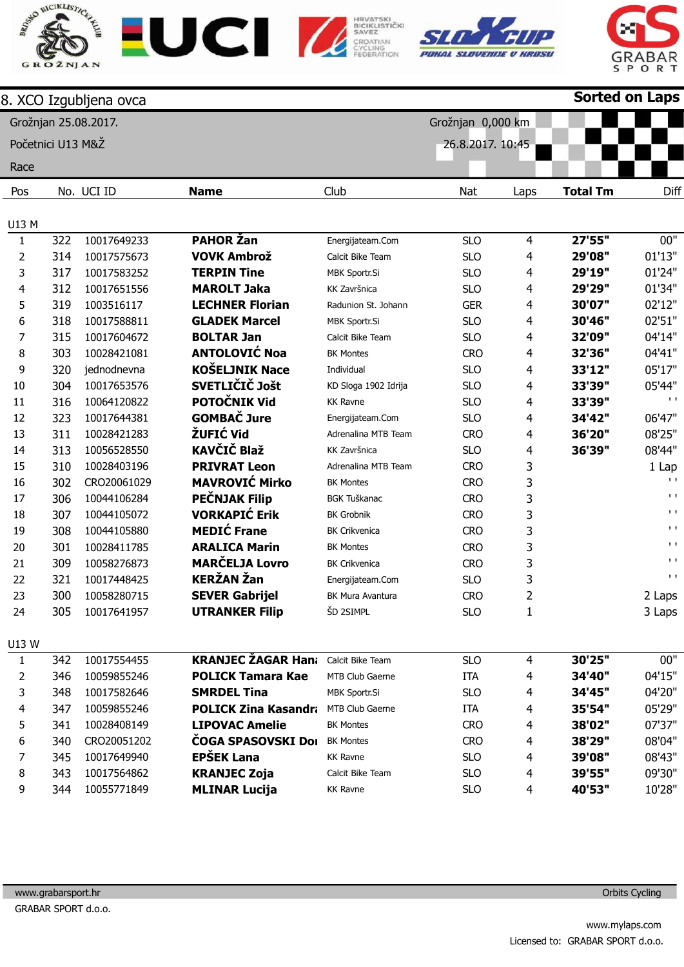









|                   |     | 8. XCO Izgubljena ovca |                             |                        |                   |      | <b>Sorted on Laps</b> |                             |
|-------------------|-----|------------------------|-----------------------------|------------------------|-------------------|------|-----------------------|-----------------------------|
|                   |     | Grožnjan 25.08.2017.   |                             |                        | Grožnjan 0,000 km |      |                       |                             |
| Početnici U13 M&Ž |     |                        |                             |                        | 26.8.2017. 10:45  |      |                       |                             |
|                   |     |                        |                             |                        |                   |      |                       |                             |
| Race              |     |                        |                             |                        |                   |      |                       |                             |
| Pos               |     | No. UCI ID             | <b>Name</b>                 | Club                   | Nat               | Laps | <b>Total Tm</b>       | Diff                        |
|                   |     |                        |                             |                        |                   |      |                       |                             |
| U13 M             |     |                        |                             |                        |                   |      |                       |                             |
| $\mathbf{1}$      | 322 | 10017649233            | <b>PAHOR Žan</b>            | Energijateam.Com       | <b>SLO</b>        | 4    | 27'55"                | 00"                         |
| 2                 | 314 | 10017575673            | <b>VOVK Ambrož</b>          | Calcit Bike Team       | <b>SLO</b>        | 4    | 29'08"                | 01'13"                      |
| 3                 | 317 | 10017583252            | <b>TERPIN Tine</b>          | MBK Sportr.Si          | <b>SLO</b>        | 4    | 29'19"                | 01'24"                      |
| 4                 | 312 | 10017651556            | <b>MAROLT Jaka</b>          | KK Završnica           | <b>SLO</b>        | 4    | 29'29"                | 01'34"                      |
| 5                 | 319 | 1003516117             | <b>LECHNER Florian</b>      | Radunion St. Johann    | <b>GER</b>        | 4    | 30'07"                | 02'12"                      |
| 6                 | 318 | 10017588811            | <b>GLADEK Marcel</b>        | MBK Sportr.Si          | <b>SLO</b>        | 4    | 30'46"                | 02'51"                      |
| 7                 | 315 | 10017604672            | <b>BOLTAR Jan</b>           | Calcit Bike Team       | <b>SLO</b>        | 4    | 32'09"                | 04'14"                      |
| 8                 | 303 | 10028421081            | <b>ANTOLOVIĆ Noa</b>        | <b>BK Montes</b>       | <b>CRO</b>        | 4    | 32'36"                | 04'41"                      |
| 9                 | 320 | jednodnevna            | <b>KOŠELJNIK Nace</b>       | Individual             | <b>SLO</b>        | 4    | 33'12"                | 05'17"                      |
| 10                | 304 | 10017653576            | SVETLIČIČ Jošt              | KD Sloga 1902 Idrija   | <b>SLO</b>        | 4    | 33'39"                | 05'44"                      |
| 11                | 316 | 10064120822            | <b>POTOČNIK Vid</b>         | <b>KK Ravne</b>        | <b>SLO</b>        | 4    | 33'39"                | $\mathbf{I}$                |
| 12                | 323 | 10017644381            | <b>GOMBAČ Jure</b>          | Energijateam.Com       | <b>SLO</b>        | 4    | 34'42"                | 06'47"                      |
| 13                | 311 | 10028421283            | ŽUFIĆ Vid                   | Adrenalina MTB Team    | <b>CRO</b>        | 4    | 36'20"                | 08'25"                      |
| 14                | 313 | 10056528550            | <b>KAVČIČ Blaž</b>          | KK Završnica           | <b>SLO</b>        | 4    | 36'39"                | 08'44"                      |
| 15                | 310 | 10028403196            | <b>PRIVRAT Leon</b>         | Adrenalina MTB Team    | <b>CRO</b>        | 3    |                       | 1 Lap                       |
| 16                | 302 | CRO20061029            | <b>MAVROVIĆ Mirko</b>       | <b>BK Montes</b>       | <b>CRO</b>        | 3    |                       | $\mathbf{I}$                |
| 17                | 306 | 10044106284            | <b>PEČNJAK Filip</b>        | <b>BGK Tuškanac</b>    | <b>CRO</b>        | 3    |                       | $\mathbf{I}$                |
| 18                | 307 | 10044105072            | <b>VORKAPIĆ Erik</b>        | <b>BK Grobnik</b>      | <b>CRO</b>        | 3    |                       | $\mathbf{I}$                |
| 19                | 308 | 10044105880            | <b>MEDIĆ Frane</b>          | <b>BK Crikvenica</b>   | <b>CRO</b>        | 3    |                       | $\mathbf{I}$                |
| 20                | 301 | 10028411785            | <b>ARALICA Marin</b>        | <b>BK Montes</b>       | <b>CRO</b>        | 3    |                       | $\mathbf{I}$ . $\mathbf{I}$ |
| 21                | 309 | 10058276873            | <b>MARČELJA Lovro</b>       | <b>BK Crikvenica</b>   | <b>CRO</b>        | 3    |                       | $\mathbf{L}$                |
| 22                | 321 | 10017448425            | <b>KERŽAN Žan</b>           | Energijateam.Com       | <b>SLO</b>        | 3    |                       | $\mathbf{I}$ . $\mathbf{I}$ |
| 23                | 300 | 10058280715            | <b>SEVER Gabrijel</b>       | BK Mura Avantura       | <b>CRO</b>        | 2    |                       | 2 Laps                      |
| 24                | 305 | 10017641957            | <b>UTRANKER Filip</b>       | ŠD 2SIMPL              | <b>SLO</b>        | 1    |                       | 3 Laps                      |
| U13 W             |     |                        |                             |                        |                   |      |                       |                             |
| $\mathbf{1}$      | 342 | 10017554455            | <b>KRANJEC ŽAGAR Hana</b>   | Calcit Bike Team       | <b>SLO</b>        | 4    | 30'25"                | 00"                         |
| 2                 | 346 | 10059855246            | <b>POLICK Tamara Kae</b>    | MTB Club Gaerne        | <b>ITA</b>        | 4    | 34'40"                | 04'15"                      |
| 3                 | 348 | 10017582646            | <b>SMRDEL Tina</b>          | MBK Sportr.Si          | <b>SLO</b>        | 4    | 34'45"                | 04'20"                      |
| 4                 | 347 | 10059855246            | <b>POLICK Zina Kasandra</b> | <b>MTB Club Gaerne</b> | <b>ITA</b>        | 4    | 35'54"                | 05'29"                      |
| 5                 | 341 | 10028408149            | <b>LIPOVAC Amelie</b>       | <b>BK Montes</b>       | <b>CRO</b>        | 4    | 38'02"                | 07'37"                      |
| 6                 | 340 | CRO20051202            | ČOGA SPASOVSKI Dol          | <b>BK Montes</b>       | <b>CRO</b>        | 4    | 38'29"                | 08'04"                      |
| 7                 | 345 | 10017649940            | <b>EPŠEK Lana</b>           | <b>KK Ravne</b>        | <b>SLO</b>        | 4    | 39'08"                | 08'43"                      |
| 8                 | 343 | 10017564862            | <b>KRANJEC Zoja</b>         | Calcit Bike Team       | <b>SLO</b>        | 4    | 39'55"                | 09'30"                      |
| 9                 | 344 | 10055771849            | <b>MLINAR Lucija</b>        | <b>KK Ravne</b>        | <b>SLO</b>        | 4    | 40'53"                | 10'28"                      |
|                   |     |                        |                             |                        |                   |      |                       |                             |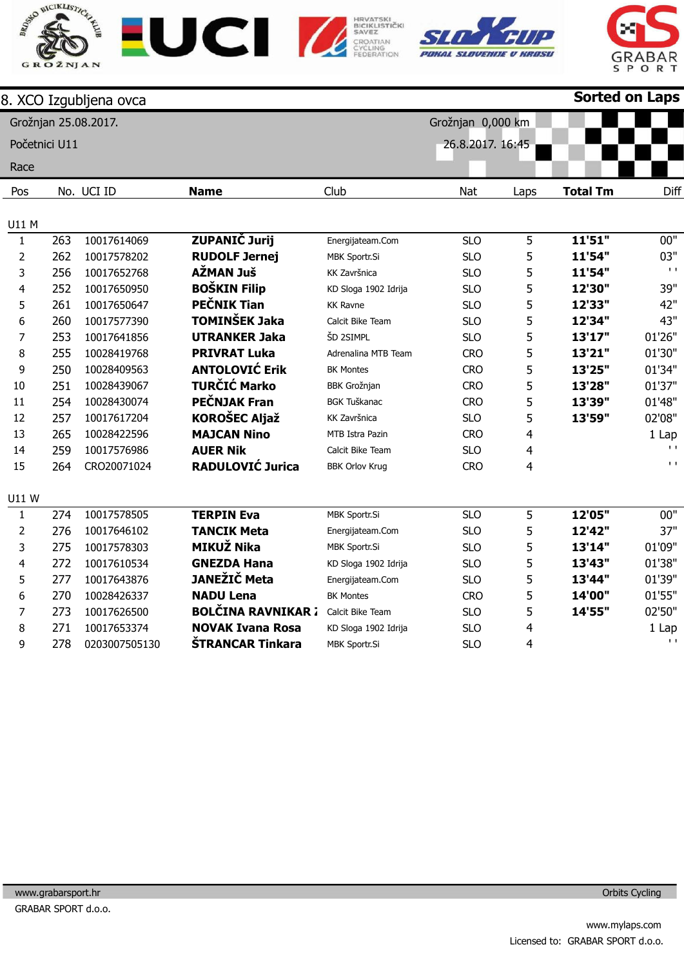









|                |               | 8. XCO Izgubljena ovca |                           |                       |                   |      | <b>Sorted on Laps</b> |              |
|----------------|---------------|------------------------|---------------------------|-----------------------|-------------------|------|-----------------------|--------------|
|                |               | Grožnjan 25.08.2017.   |                           |                       | Grožnjan 0,000 km |      |                       |              |
|                | Početnici U11 |                        |                           |                       | 26.8.2017. 16:45  |      |                       |              |
| Race           |               |                        |                           |                       |                   |      |                       |              |
| Pos            |               | No. UCI ID             | <b>Name</b>               | Club                  | Nat               | Laps | <b>Total Tm</b>       | Diff         |
|                |               |                        |                           |                       |                   |      |                       |              |
| U11 M          |               |                        |                           |                       |                   |      |                       |              |
| $\mathbf{1}$   | 263           | 10017614069            | <b>ZUPANIČ Jurij</b>      | Energijateam.Com      | <b>SLO</b>        | 5    | 11'51"                | 00"          |
| $\overline{2}$ | 262           | 10017578202            | <b>RUDOLF Jernej</b>      | MBK Sportr.Si         | <b>SLO</b>        | 5    | 11'54"                | 03"          |
| 3              | 256           | 10017652768            | AŽMAN Juš                 | KK Završnica          | <b>SLO</b>        | 5    | 11'54"                | $\mathbf{L}$ |
| 4              | 252           | 10017650950            | <b>BOŠKIN Filip</b>       | KD Sloga 1902 Idrija  | <b>SLO</b>        | 5    | 12'30"                | 39"          |
| 5              | 261           | 10017650647            | <b>PEČNIK Tian</b>        | <b>KK Ravne</b>       | <b>SLO</b>        | 5    | 12'33"                | 42"          |
| 6              | 260           | 10017577390            | <b>TOMINŠEK Jaka</b>      | Calcit Bike Team      | <b>SLO</b>        | 5    | 12'34"                | 43"          |
| $\overline{7}$ | 253           | 10017641856            | <b>UTRANKER Jaka</b>      | ŠD 2SIMPL             | <b>SLO</b>        | 5    | 13'17"                | 01'26"       |
| 8              | 255           | 10028419768            | <b>PRIVRAT Luka</b>       | Adrenalina MTB Team   | <b>CRO</b>        | 5    | 13'21"                | 01'30"       |
| 9              | 250           | 10028409563            | <b>ANTOLOVIĆ Erik</b>     | <b>BK Montes</b>      | <b>CRO</b>        | 5    | 13'25"                | 01'34"       |
| 10             | 251           | 10028439067            | <b>TURČIĆ Marko</b>       | <b>BBK Grožnjan</b>   | <b>CRO</b>        | 5    | 13'28"                | 01'37"       |
| 11             | 254           | 10028430074            | PEČNJAK Fran              | <b>BGK Tuškanac</b>   | <b>CRO</b>        | 5    | 13'39"                | 01'48"       |
| 12             | 257           | 10017617204            | <b>KOROŠEC Aljaž</b>      | KK Završnica          | <b>SLO</b>        | 5    | 13'59"                | 02'08"       |
| 13             | 265           | 10028422596            | <b>MAJCAN Nino</b>        | MTB Istra Pazin       | <b>CRO</b>        | 4    |                       | 1 Lap        |
| 14             | 259           | 10017576986            | <b>AUER Nik</b>           | Calcit Bike Team      | <b>SLO</b>        | 4    |                       | $\mathbf{L}$ |
| 15             | 264           | CRO20071024            | <b>RADULOVIĆ Jurica</b>   | <b>BBK Orlov Krug</b> | <b>CRO</b>        | 4    |                       | $\mathbf{L}$ |
| U11W           |               |                        |                           |                       |                   |      |                       |              |
| $\mathbf{1}$   | 274           | 10017578505            | <b>TERPIN Eva</b>         | MBK Sportr.Si         | <b>SLO</b>        | 5    | 12'05"                | 00"          |
| $\overline{2}$ | 276           | 10017646102            | <b>TANCIK Meta</b>        | Energijateam.Com      | <b>SLO</b>        | 5    | 12'42"                | 37"          |
| 3              | 275           | 10017578303            | <b>MIKUŽ Nika</b>         | MBK Sportr.Si         | <b>SLO</b>        | 5    | 13'14"                | 01'09"       |
| 4              | 272           | 10017610534            | <b>GNEZDA Hana</b>        | KD Sloga 1902 Idrija  | <b>SLO</b>        | 5    | 13'43"                | 01'38"       |
| 5              | 277           | 10017643876            | JANEŽIČ Meta              | Energijateam.Com      | <b>SLO</b>        | 5    | 13'44"                | 01'39"       |
| 6              | 270           | 10028426337            | <b>NADU Lena</b>          | <b>BK Montes</b>      | <b>CRO</b>        | 5    | 14'00"                | 01'55"       |
| $\overline{7}$ | 273           | 10017626500            | <b>BOLČINA RAVNIKAR 7</b> | Calcit Bike Team      | <b>SLO</b>        | 5    | 14'55"                | 02'50"       |
| 8              | 271           | 10017653374            | <b>NOVAK Ivana Rosa</b>   | KD Sloga 1902 Idrija  | <b>SLO</b>        | 4    |                       | 1 Lap        |
| 9              | 278           | 0203007505130          | ŠTRANCAR Tinkara          | MBK Sportr.Si         | <b>SLO</b>        | 4    |                       | $\mathbf{I}$ |